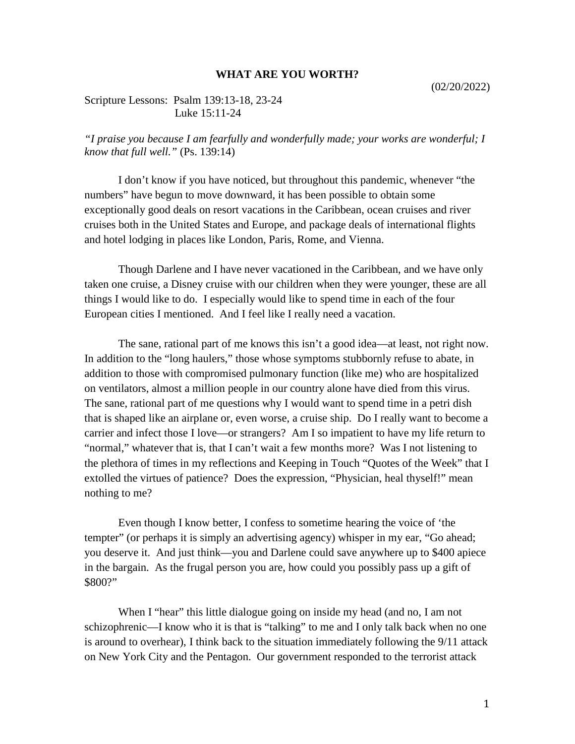## **WHAT ARE YOU WORTH?**

## Scripture Lessons: Psalm 139:13-18, 23-24 Luke 15:11-24

## *"I praise you because I am fearfully and wonderfully made; your works are wonderful; I know that full well."* (Ps. 139:14)

I don't know if you have noticed, but throughout this pandemic, whenever "the numbers" have begun to move downward, it has been possible to obtain some exceptionally good deals on resort vacations in the Caribbean, ocean cruises and river cruises both in the United States and Europe, and package deals of international flights and hotel lodging in places like London, Paris, Rome, and Vienna.

Though Darlene and I have never vacationed in the Caribbean, and we have only taken one cruise, a Disney cruise with our children when they were younger, these are all things I would like to do. I especially would like to spend time in each of the four European cities I mentioned. And I feel like I really need a vacation.

The sane, rational part of me knows this isn't a good idea—at least, not right now. In addition to the "long haulers," those whose symptoms stubbornly refuse to abate, in addition to those with compromised pulmonary function (like me) who are hospitalized on ventilators, almost a million people in our country alone have died from this virus. The sane, rational part of me questions why I would want to spend time in a petri dish that is shaped like an airplane or, even worse, a cruise ship. Do I really want to become a carrier and infect those I love—or strangers? Am I so impatient to have my life return to "normal," whatever that is, that I can't wait a few months more? Was I not listening to the plethora of times in my reflections and Keeping in Touch "Quotes of the Week" that I extolled the virtues of patience? Does the expression, "Physician, heal thyself!" mean nothing to me?

Even though I know better, I confess to sometime hearing the voice of 'the tempter" (or perhaps it is simply an advertising agency) whisper in my ear, "Go ahead; you deserve it. And just think—you and Darlene could save anywhere up to \$400 apiece in the bargain. As the frugal person you are, how could you possibly pass up a gift of \$800?"

When I "hear" this little dialogue going on inside my head (and no, I am not schizophrenic—I know who it is that is "talking" to me and I only talk back when no one is around to overhear), I think back to the situation immediately following the 9/11 attack on New York City and the Pentagon. Our government responded to the terrorist attack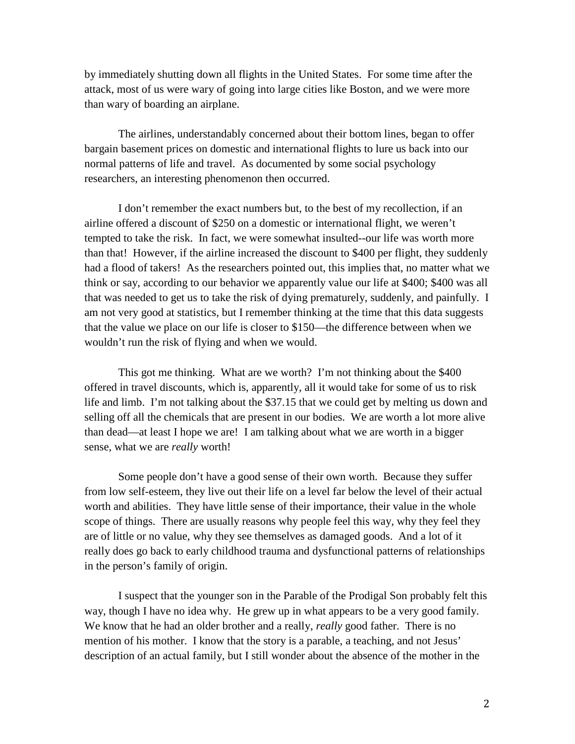by immediately shutting down all flights in the United States. For some time after the attack, most of us were wary of going into large cities like Boston, and we were more than wary of boarding an airplane.

The airlines, understandably concerned about their bottom lines, began to offer bargain basement prices on domestic and international flights to lure us back into our normal patterns of life and travel. As documented by some social psychology researchers, an interesting phenomenon then occurred.

I don't remember the exact numbers but, to the best of my recollection, if an airline offered a discount of \$250 on a domestic or international flight, we weren't tempted to take the risk. In fact, we were somewhat insulted--our life was worth more than that! However, if the airline increased the discount to \$400 per flight, they suddenly had a flood of takers! As the researchers pointed out, this implies that, no matter what we think or say, according to our behavior we apparently value our life at \$400; \$400 was all that was needed to get us to take the risk of dying prematurely, suddenly, and painfully. I am not very good at statistics, but I remember thinking at the time that this data suggests that the value we place on our life is closer to \$150—the difference between when we wouldn't run the risk of flying and when we would.

This got me thinking. What are we worth? I'm not thinking about the \$400 offered in travel discounts, which is, apparently, all it would take for some of us to risk life and limb. I'm not talking about the \$37.15 that we could get by melting us down and selling off all the chemicals that are present in our bodies. We are worth a lot more alive than dead—at least I hope we are! I am talking about what we are worth in a bigger sense, what we are *really* worth!

Some people don't have a good sense of their own worth. Because they suffer from low self-esteem, they live out their life on a level far below the level of their actual worth and abilities. They have little sense of their importance, their value in the whole scope of things. There are usually reasons why people feel this way, why they feel they are of little or no value, why they see themselves as damaged goods. And a lot of it really does go back to early childhood trauma and dysfunctional patterns of relationships in the person's family of origin.

I suspect that the younger son in the Parable of the Prodigal Son probably felt this way, though I have no idea why. He grew up in what appears to be a very good family. We know that he had an older brother and a really, *really* good father. There is no mention of his mother. I know that the story is a parable, a teaching, and not Jesus' description of an actual family, but I still wonder about the absence of the mother in the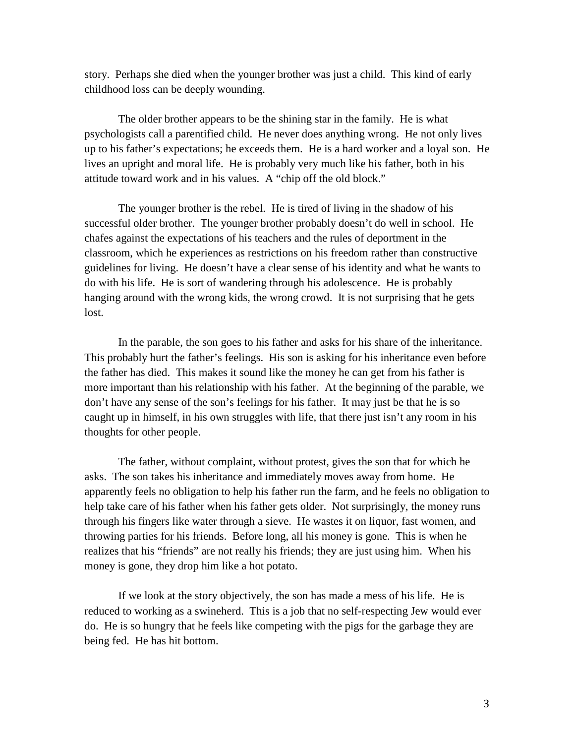story. Perhaps she died when the younger brother was just a child. This kind of early childhood loss can be deeply wounding.

The older brother appears to be the shining star in the family. He is what psychologists call a parentified child. He never does anything wrong. He not only lives up to his father's expectations; he exceeds them. He is a hard worker and a loyal son. He lives an upright and moral life. He is probably very much like his father, both in his attitude toward work and in his values. A "chip off the old block."

The younger brother is the rebel. He is tired of living in the shadow of his successful older brother. The younger brother probably doesn't do well in school. He chafes against the expectations of his teachers and the rules of deportment in the classroom, which he experiences as restrictions on his freedom rather than constructive guidelines for living. He doesn't have a clear sense of his identity and what he wants to do with his life. He is sort of wandering through his adolescence. He is probably hanging around with the wrong kids, the wrong crowd. It is not surprising that he gets lost.

In the parable, the son goes to his father and asks for his share of the inheritance. This probably hurt the father's feelings. His son is asking for his inheritance even before the father has died. This makes it sound like the money he can get from his father is more important than his relationship with his father. At the beginning of the parable, we don't have any sense of the son's feelings for his father. It may just be that he is so caught up in himself, in his own struggles with life, that there just isn't any room in his thoughts for other people.

The father, without complaint, without protest, gives the son that for which he asks. The son takes his inheritance and immediately moves away from home. He apparently feels no obligation to help his father run the farm, and he feels no obligation to help take care of his father when his father gets older. Not surprisingly, the money runs through his fingers like water through a sieve. He wastes it on liquor, fast women, and throwing parties for his friends. Before long, all his money is gone. This is when he realizes that his "friends" are not really his friends; they are just using him. When his money is gone, they drop him like a hot potato.

If we look at the story objectively, the son has made a mess of his life. He is reduced to working as a swineherd. This is a job that no self-respecting Jew would ever do. He is so hungry that he feels like competing with the pigs for the garbage they are being fed. He has hit bottom.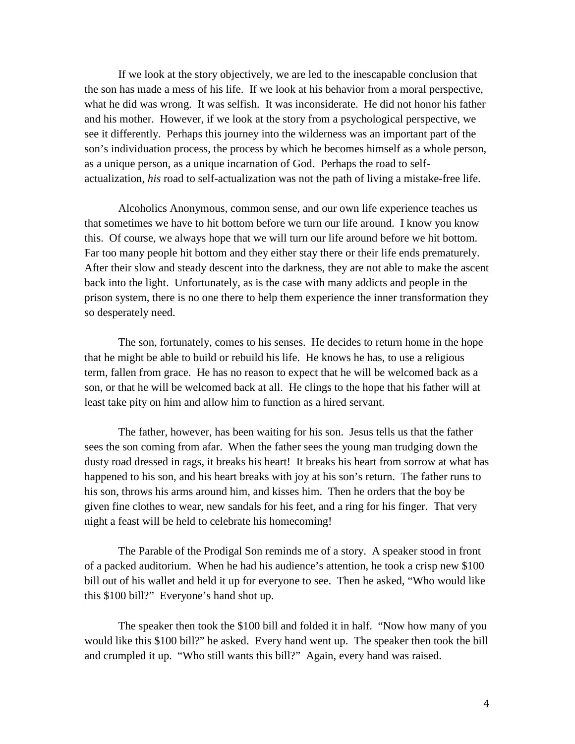If we look at the story objectively, we are led to the inescapable conclusion that the son has made a mess of his life. If we look at his behavior from a moral perspective, what he did was wrong. It was selfish. It was inconsiderate. He did not honor his father and his mother. However, if we look at the story from a psychological perspective, we see it differently. Perhaps this journey into the wilderness was an important part of the son's individuation process, the process by which he becomes himself as a whole person, as a unique person, as a unique incarnation of God. Perhaps the road to selfactualization, *his* road to self-actualization was not the path of living a mistake-free life.

Alcoholics Anonymous, common sense, and our own life experience teaches us that sometimes we have to hit bottom before we turn our life around. I know you know this. Of course, we always hope that we will turn our life around before we hit bottom. Far too many people hit bottom and they either stay there or their life ends prematurely. After their slow and steady descent into the darkness, they are not able to make the ascent back into the light. Unfortunately, as is the case with many addicts and people in the prison system, there is no one there to help them experience the inner transformation they so desperately need.

The son, fortunately, comes to his senses. He decides to return home in the hope that he might be able to build or rebuild his life. He knows he has, to use a religious term, fallen from grace. He has no reason to expect that he will be welcomed back as a son, or that he will be welcomed back at all. He clings to the hope that his father will at least take pity on him and allow him to function as a hired servant.

The father, however, has been waiting for his son. Jesus tells us that the father sees the son coming from afar. When the father sees the young man trudging down the dusty road dressed in rags, it breaks his heart! It breaks his heart from sorrow at what has happened to his son, and his heart breaks with joy at his son's return. The father runs to his son, throws his arms around him, and kisses him. Then he orders that the boy be given fine clothes to wear, new sandals for his feet, and a ring for his finger. That very night a feast will be held to celebrate his homecoming!

The Parable of the Prodigal Son reminds me of a story. A speaker stood in front of a packed auditorium. When he had his audience's attention, he took a crisp new \$100 bill out of his wallet and held it up for everyone to see. Then he asked, "Who would like this \$100 bill?" Everyone's hand shot up.

The speaker then took the \$100 bill and folded it in half. "Now how many of you would like this \$100 bill?" he asked. Every hand went up. The speaker then took the bill and crumpled it up. "Who still wants this bill?" Again, every hand was raised.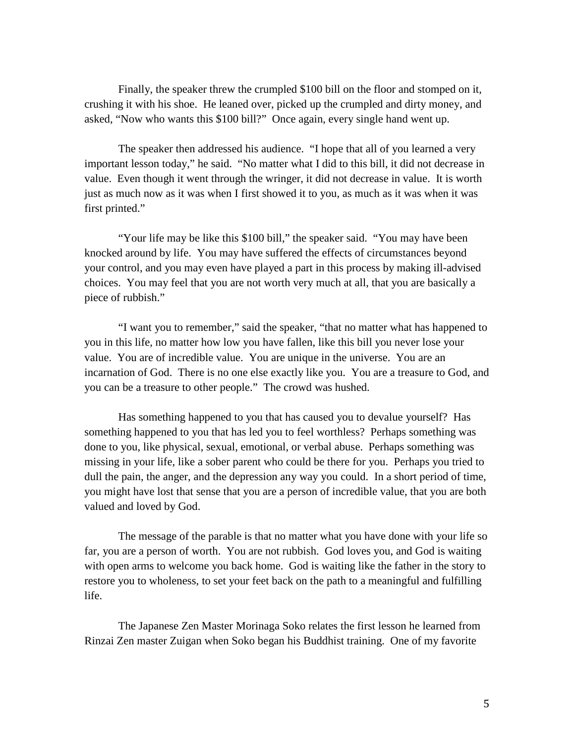Finally, the speaker threw the crumpled \$100 bill on the floor and stomped on it, crushing it with his shoe. He leaned over, picked up the crumpled and dirty money, and asked, "Now who wants this \$100 bill?" Once again, every single hand went up.

The speaker then addressed his audience. "I hope that all of you learned a very important lesson today," he said. "No matter what I did to this bill, it did not decrease in value. Even though it went through the wringer, it did not decrease in value. It is worth just as much now as it was when I first showed it to you, as much as it was when it was first printed."

"Your life may be like this \$100 bill," the speaker said. "You may have been knocked around by life. You may have suffered the effects of circumstances beyond your control, and you may even have played a part in this process by making ill-advised choices. You may feel that you are not worth very much at all, that you are basically a piece of rubbish."

"I want you to remember," said the speaker, "that no matter what has happened to you in this life, no matter how low you have fallen, like this bill you never lose your value. You are of incredible value. You are unique in the universe. You are an incarnation of God. There is no one else exactly like you. You are a treasure to God, and you can be a treasure to other people." The crowd was hushed.

Has something happened to you that has caused you to devalue yourself? Has something happened to you that has led you to feel worthless? Perhaps something was done to you, like physical, sexual, emotional, or verbal abuse. Perhaps something was missing in your life, like a sober parent who could be there for you. Perhaps you tried to dull the pain, the anger, and the depression any way you could. In a short period of time, you might have lost that sense that you are a person of incredible value, that you are both valued and loved by God.

The message of the parable is that no matter what you have done with your life so far, you are a person of worth. You are not rubbish. God loves you, and God is waiting with open arms to welcome you back home. God is waiting like the father in the story to restore you to wholeness, to set your feet back on the path to a meaningful and fulfilling life.

The Japanese Zen Master Morinaga Soko relates the first lesson he learned from Rinzai Zen master Zuigan when Soko began his Buddhist training. One of my favorite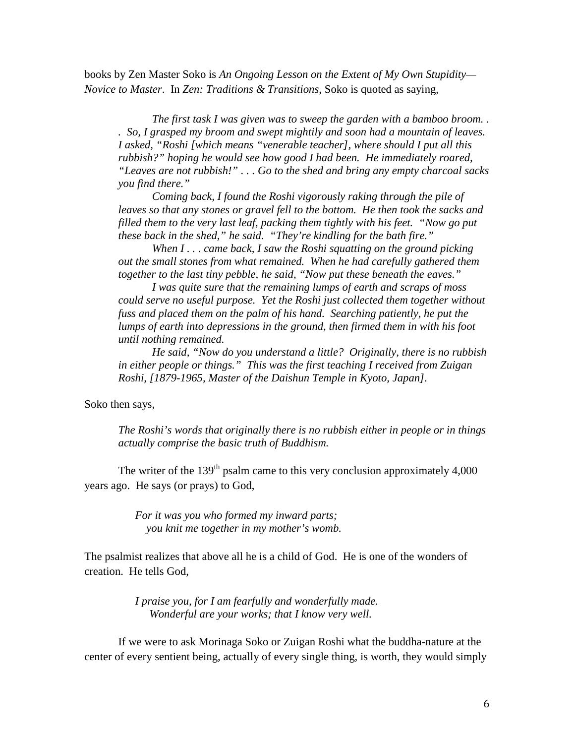books by Zen Master Soko is *An Ongoing Lesson on the Extent of My Own Stupidity— Novice to Master*. In *Zen: Traditions & Transitions*, Soko is quoted as saying,

*The first task I was given was to sweep the garden with a bamboo broom. . . So, I grasped my broom and swept mightily and soon had a mountain of leaves. I asked, "Roshi [which means "venerable teacher], where should I put all this rubbish?" hoping he would see how good I had been. He immediately roared, "Leaves are not rubbish!" . . . Go to the shed and bring any empty charcoal sacks you find there."*

*Coming back, I found the Roshi vigorously raking through the pile of leaves so that any stones or gravel fell to the bottom. He then took the sacks and filled them to the very last leaf, packing them tightly with his feet. "Now go put these back in the shed," he said. "They're kindling for the bath fire."*

*When I . . . came back, I saw the Roshi squatting on the ground picking out the small stones from what remained. When he had carefully gathered them together to the last tiny pebble, he said, "Now put these beneath the eaves."*

*I was quite sure that the remaining lumps of earth and scraps of moss could serve no useful purpose. Yet the Roshi just collected them together without fuss and placed them on the palm of his hand. Searching patiently, he put the lumps of earth into depressions in the ground, then firmed them in with his foot until nothing remained.*

*He said, "Now do you understand a little? Originally, there is no rubbish in either people or things." This was the first teaching I received from Zuigan Roshi, [1879-1965, Master of the Daishun Temple in Kyoto, Japan].*

Soko then says,

*The Roshi's words that originally there is no rubbish either in people or in things actually comprise the basic truth of Buddhism.*

The writer of the  $139<sup>th</sup>$  psalm came to this very conclusion approximately 4,000 years ago. He says (or prays) to God,

> *For it was you who formed my inward parts; you knit me together in my mother's womb.*

The psalmist realizes that above all he is a child of God. He is one of the wonders of creation. He tells God,

> *I praise you, for I am fearfully and wonderfully made. Wonderful are your works; that I know very well.*

If we were to ask Morinaga Soko or Zuigan Roshi what the buddha-nature at the center of every sentient being, actually of every single thing, is worth, they would simply